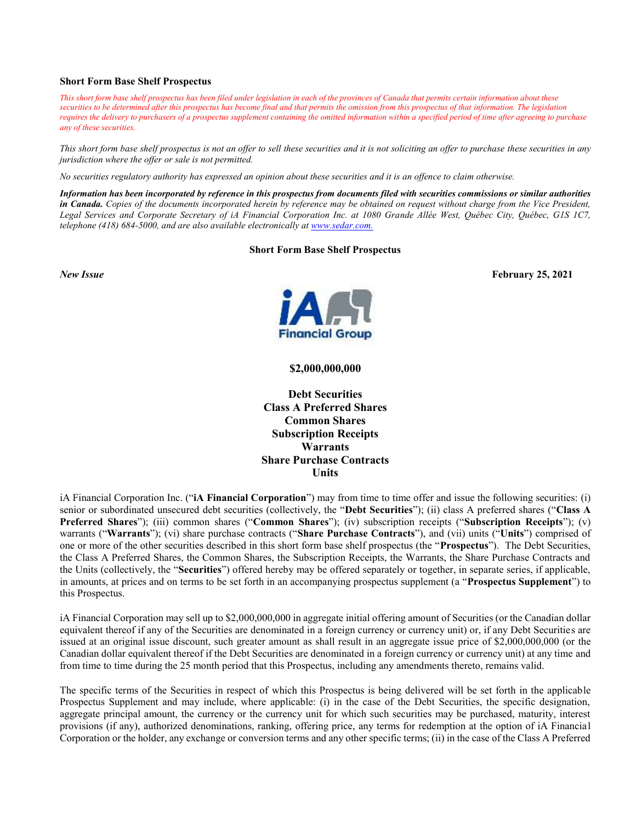#### **Short Form Base Shelf Prospectus**

*This short form base shelf prospectus has been filed under legislation in each of the provinces of Canada that permits certain information about these*  securities to be determined after this prospectus has become final and that permits the omission from this prospectus of that information. The legislation *requires the delivery to purchasers of a prospectus supplement containing the omitted information within a specified period of time after agreeing to purchase any of these securities.* 

*This short form base shelf prospectus is not an offer to sell these securities and it is not soliciting an offer to purchase these securities in any jurisdiction where the offer or sale is not permitted.* 

*No securities regulatory authority has expressed an opinion about these securities and it is an offence to claim otherwise.* 

*Information has been incorporated by reference in this prospectus from documents filed with securities commissions or similar authorities in Canada. Copies of the documents incorporated herein by reference may be obtained on request without charge from the Vice President, Legal Services and Corporate Secretary of iA Financial Corporation Inc. at 1080 Grande Allée West, Québec City, Québec, G1S 1C7, telephone (418) 684-5000, and are also available electronically at <www.sedar.com>.*

#### **Short Form Base Shelf Prospectus**



**\$2,000,000,000**

**Debt Securities Class A Preferred Shares Common Shares Subscription Receipts Warrants Share Purchase Contracts Units**

iA Financial Corporation Inc. ("**iA Financial Corporation**") may from time to time offer and issue the following securities: (i) senior or subordinated unsecured debt securities (collectively, the "**Debt Securities**"); (ii) class A preferred shares ("**Class A Preferred Shares**"); (iii) common shares ("**Common Shares**"); (iv) subscription receipts ("**Subscription Receipts**"); (v) warrants ("**Warrants**"); (vi) share purchase contracts ("**Share Purchase Contracts**"), and (vii) units ("**Units**") comprised of one or more of the other securities described in this short form base shelf prospectus (the "**Prospectus**"). The Debt Securities, the Class A Preferred Shares, the Common Shares, the Subscription Receipts, the Warrants, the Share Purchase Contracts and the Units (collectively, the "**Securities**") offered hereby may be offered separately or together, in separate series, if applicable, in amounts, at prices and on terms to be set forth in an accompanying prospectus supplement (a "**Prospectus Supplement**") to this Prospectus.

iA Financial Corporation may sell up to \$2,000,000,000 in aggregate initial offering amount of Securities (or the Canadian dollar equivalent thereof if any of the Securities are denominated in a foreign currency or currency unit) or, if any Debt Securities are issued at an original issue discount, such greater amount as shall result in an aggregate issue price of \$2,000,000,000 (or the Canadian dollar equivalent thereof if the Debt Securities are denominated in a foreign currency or currency unit) at any time and from time to time during the 25 month period that this Prospectus, including any amendments thereto, remains valid.

The specific terms of the Securities in respect of which this Prospectus is being delivered will be set forth in the applicable Prospectus Supplement and may include, where applicable: (i) in the case of the Debt Securities, the specific designation, aggregate principal amount, the currency or the currency unit for which such securities may be purchased, maturity, interest provisions (if any), authorized denominations, ranking, offering price, any terms for redemption at the option of iA Financial Corporation or the holder, any exchange or conversion terms and any other specific terms; (ii) in the case of the Class A Preferred

*New Issue* **February 25, 2021**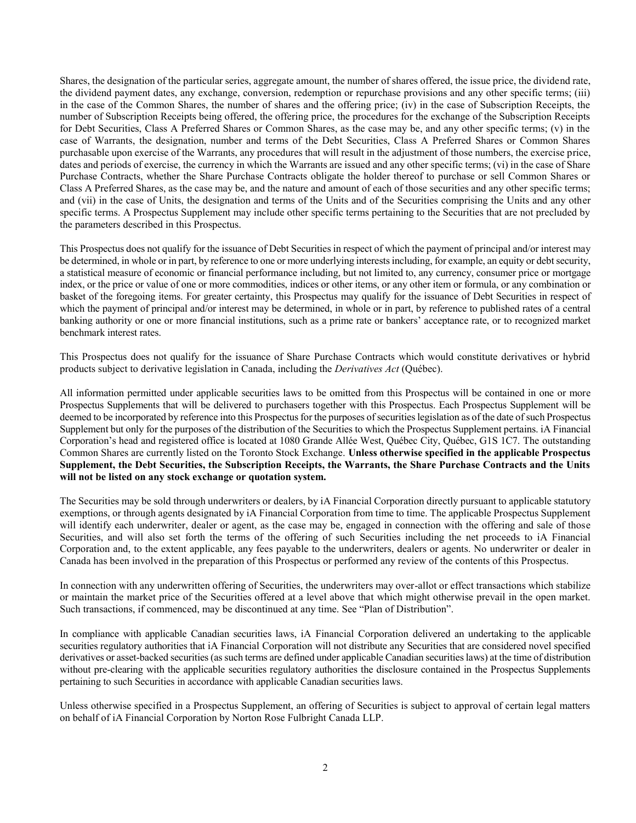Shares, the designation of the particular series, aggregate amount, the number of shares offered, the issue price, the dividend rate, the dividend payment dates, any exchange, conversion, redemption or repurchase provisions and any other specific terms; (iii) in the case of the Common Shares, the number of shares and the offering price; (iv) in the case of Subscription Receipts, the number of Subscription Receipts being offered, the offering price, the procedures for the exchange of the Subscription Receipts for Debt Securities, Class A Preferred Shares or Common Shares, as the case may be, and any other specific terms; (v) in the case of Warrants, the designation, number and terms of the Debt Securities, Class A Preferred Shares or Common Shares purchasable upon exercise of the Warrants, any procedures that will result in the adjustment of those numbers, the exercise price, dates and periods of exercise, the currency in which the Warrants are issued and any other specific terms; (vi) in the case of Share Purchase Contracts, whether the Share Purchase Contracts obligate the holder thereof to purchase or sell Common Shares or Class A Preferred Shares, as the case may be, and the nature and amount of each of those securities and any other specific terms; and (vii) in the case of Units, the designation and terms of the Units and of the Securities comprising the Units and any other specific terms. A Prospectus Supplement may include other specific terms pertaining to the Securities that are not precluded by the parameters described in this Prospectus.

This Prospectus does not qualify for the issuance of Debt Securities in respect of which the payment of principal and/or interest may be determined, in whole or in part, by reference to one or more underlying interests including, for example, an equity or debt security, a statistical measure of economic or financial performance including, but not limited to, any currency, consumer price or mortgage index, or the price or value of one or more commodities, indices or other items, or any other item or formula, or any combination or basket of the foregoing items. For greater certainty, this Prospectus may qualify for the issuance of Debt Securities in respect of which the payment of principal and/or interest may be determined, in whole or in part, by reference to published rates of a central banking authority or one or more financial institutions, such as a prime rate or bankers' acceptance rate, or to recognized market benchmark interest rates.

This Prospectus does not qualify for the issuance of Share Purchase Contracts which would constitute derivatives or hybrid products subject to derivative legislation in Canada, including the *Derivatives Act* (Québec).

All information permitted under applicable securities laws to be omitted from this Prospectus will be contained in one or more Prospectus Supplements that will be delivered to purchasers together with this Prospectus. Each Prospectus Supplement will be deemed to be incorporated by reference into this Prospectus for the purposes of securities legislation as of the date of such Prospectus Supplement but only for the purposes of the distribution of the Securities to which the Prospectus Supplement pertains. iA Financial Corporation's head and registered office is located at 1080 Grande Allée West, Québec City, Québec, G1S 1C7. The outstanding Common Shares are currently listed on the Toronto Stock Exchange. **Unless otherwise specified in the applicable Prospectus Supplement, the Debt Securities, the Subscription Receipts, the Warrants, the Share Purchase Contracts and the Units will not be listed on any stock exchange or quotation system.** 

The Securities may be sold through underwriters or dealers, by iA Financial Corporation directly pursuant to applicable statutory exemptions, or through agents designated by iA Financial Corporation from time to time. The applicable Prospectus Supplement will identify each underwriter, dealer or agent, as the case may be, engaged in connection with the offering and sale of those Securities, and will also set forth the terms of the offering of such Securities including the net proceeds to iA Financial Corporation and, to the extent applicable, any fees payable to the underwriters, dealers or agents. No underwriter or dealer in Canada has been involved in the preparation of this Prospectus or performed any review of the contents of this Prospectus.

In connection with any underwritten offering of Securities, the underwriters may over-allot or effect transactions which stabilize or maintain the market price of the Securities offered at a level above that which might otherwise prevail in the open market. Such transactions, if commenced, may be discontinued at any time. See "Plan of Distribution".

In compliance with applicable Canadian securities laws, iA Financial Corporation delivered an undertaking to the applicable securities regulatory authorities that iA Financial Corporation will not distribute any Securities that are considered novel specified derivatives or asset-backed securities (as such terms are defined under applicable Canadian securities laws) at the time of distribution without pre-clearing with the applicable securities regulatory authorities the disclosure contained in the Prospectus Supplements pertaining to such Securities in accordance with applicable Canadian securities laws.

Unless otherwise specified in a Prospectus Supplement, an offering of Securities is subject to approval of certain legal matters on behalf of iA Financial Corporation by Norton Rose Fulbright Canada LLP.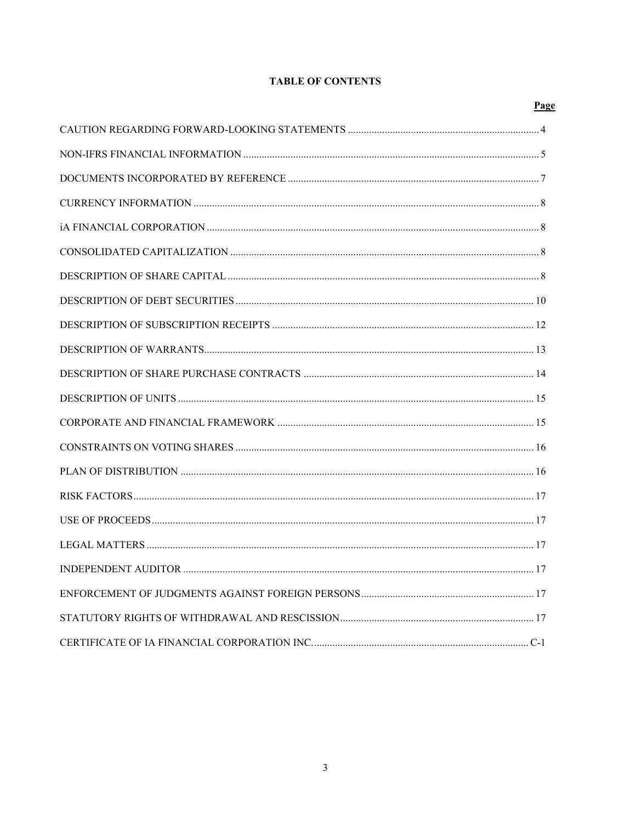# **TABLE OF CONTENTS**

| Page |
|------|
|      |
|      |
|      |
|      |
|      |
|      |
|      |
|      |
|      |
|      |
|      |
|      |
|      |
|      |
|      |
|      |
|      |
|      |
|      |
|      |
|      |
|      |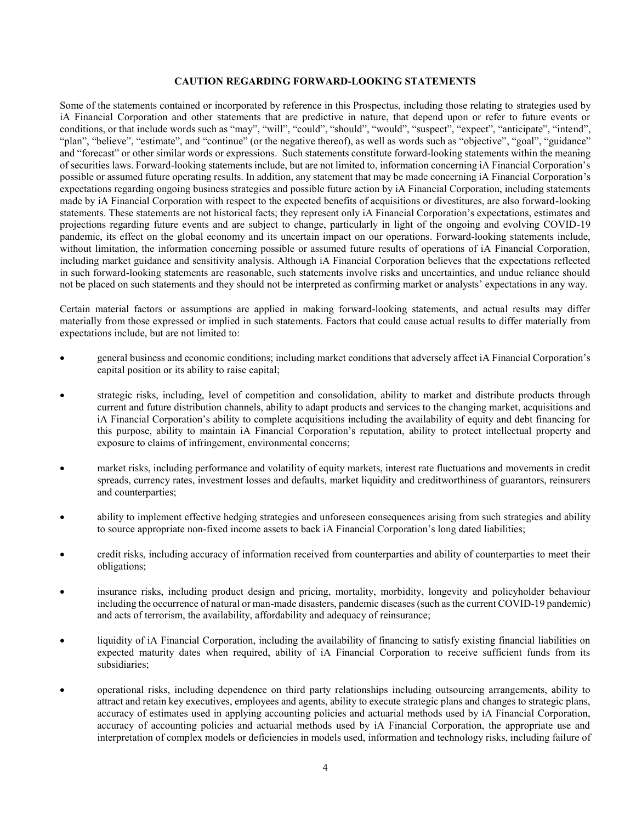#### **CAUTION REGARDING FORWARD-LOOKING STATEMENTS**

Some of the statements contained or incorporated by reference in this Prospectus, including those relating to strategies used by iA Financial Corporation and other statements that are predictive in nature, that depend upon or refer to future events or conditions, or that include words such as "may", "will", "could", "should", "would", "suspect", "expect", "anticipate", "intend", "plan", "believe", "estimate", and "continue" (or the negative thereof), as well as words such as "objective", "goal", "guidance" and "forecast" or other similar words or expressions. Such statements constitute forward-looking statements within the meaning of securities laws. Forward-looking statements include, but are not limited to, information concerning iA Financial Corporation's possible or assumed future operating results. In addition, any statement that may be made concerning iA Financial Corporation's expectations regarding ongoing business strategies and possible future action by iA Financial Corporation, including statements made by iA Financial Corporation with respect to the expected benefits of acquisitions or divestitures, are also forward-looking statements. These statements are not historical facts; they represent only iA Financial Corporation's expectations, estimates and projections regarding future events and are subject to change, particularly in light of the ongoing and evolving COVID-19 pandemic, its effect on the global economy and its uncertain impact on our operations. Forward-looking statements include, without limitation, the information concerning possible or assumed future results of operations of iA Financial Corporation, including market guidance and sensitivity analysis. Although iA Financial Corporation believes that the expectations reflected in such forward-looking statements are reasonable, such statements involve risks and uncertainties, and undue reliance should not be placed on such statements and they should not be interpreted as confirming market or analysts' expectations in any way.

Certain material factors or assumptions are applied in making forward-looking statements, and actual results may differ materially from those expressed or implied in such statements. Factors that could cause actual results to differ materially from expectations include, but are not limited to:

- general business and economic conditions; including market conditions that adversely affect iA Financial Corporation's capital position or its ability to raise capital;
- strategic risks, including, level of competition and consolidation, ability to market and distribute products through current and future distribution channels, ability to adapt products and services to the changing market, acquisitions and iA Financial Corporation's ability to complete acquisitions including the availability of equity and debt financing for this purpose, ability to maintain iA Financial Corporation's reputation, ability to protect intellectual property and exposure to claims of infringement, environmental concerns;
- market risks, including performance and volatility of equity markets, interest rate fluctuations and movements in credit spreads, currency rates, investment losses and defaults, market liquidity and creditworthiness of guarantors, reinsurers and counterparties;
- ability to implement effective hedging strategies and unforeseen consequences arising from such strategies and ability to source appropriate non-fixed income assets to back iA Financial Corporation's long dated liabilities;
- credit risks, including accuracy of information received from counterparties and ability of counterparties to meet their obligations;
- insurance risks, including product design and pricing, mortality, morbidity, longevity and policyholder behaviour including the occurrence of natural or man-made disasters, pandemic diseases (such as the current COVID-19 pandemic) and acts of terrorism, the availability, affordability and adequacy of reinsurance;
- liquidity of iA Financial Corporation, including the availability of financing to satisfy existing financial liabilities on expected maturity dates when required, ability of iA Financial Corporation to receive sufficient funds from its subsidiaries;
- operational risks, including dependence on third party relationships including outsourcing arrangements, ability to attract and retain key executives, employees and agents, ability to execute strategic plans and changes to strategic plans, accuracy of estimates used in applying accounting policies and actuarial methods used by iA Financial Corporation, accuracy of accounting policies and actuarial methods used by iA Financial Corporation, the appropriate use and interpretation of complex models or deficiencies in models used, information and technology risks, including failure of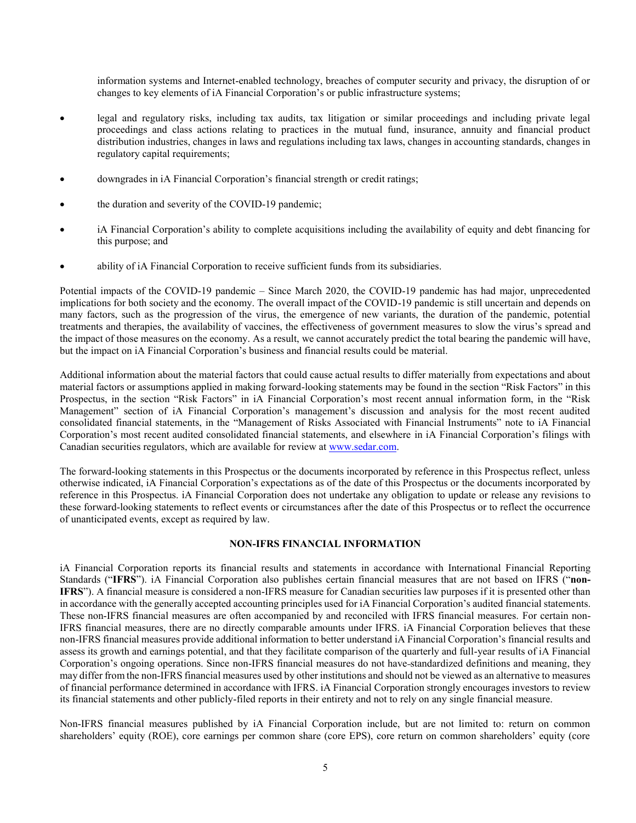information systems and Internet-enabled technology, breaches of computer security and privacy, the disruption of or changes to key elements of iA Financial Corporation's or public infrastructure systems;

- legal and regulatory risks, including tax audits, tax litigation or similar proceedings and including private legal proceedings and class actions relating to practices in the mutual fund, insurance, annuity and financial product distribution industries, changes in laws and regulations including tax laws, changes in accounting standards, changes in regulatory capital requirements;
- downgrades in iA Financial Corporation's financial strength or credit ratings;
- the duration and severity of the COVID-19 pandemic;
- iA Financial Corporation's ability to complete acquisitions including the availability of equity and debt financing for this purpose; and
- ability of iA Financial Corporation to receive sufficient funds from its subsidiaries.

Potential impacts of the COVID-19 pandemic – Since March 2020, the COVID-19 pandemic has had major, unprecedented implications for both society and the economy. The overall impact of the COVID-19 pandemic is still uncertain and depends on many factors, such as the progression of the virus, the emergence of new variants, the duration of the pandemic, potential treatments and therapies, the availability of vaccines, the effectiveness of government measures to slow the virus's spread and the impact of those measures on the economy. As a result, we cannot accurately predict the total bearing the pandemic will have, but the impact on iA Financial Corporation's business and financial results could be material.

Additional information about the material factors that could cause actual results to differ materially from expectations and about material factors or assumptions applied in making forward-looking statements may be found in the section "Risk Factors" in this Prospectus, in the section "Risk Factors" in iA Financial Corporation's most recent annual information form, in the "Risk Management" section of iA Financial Corporation's management's discussion and analysis for the most recent audited consolidated financial statements, in the "Management of Risks Associated with Financial Instruments" note to iA Financial Corporation's most recent audited consolidated financial statements, and elsewhere in iA Financial Corporation's filings with Canadian securities regulators, which are available for review at [www.sedar.com.](www.sedar.com)

The forward-looking statements in this Prospectus or the documents incorporated by reference in this Prospectus reflect, unless otherwise indicated, iA Financial Corporation's expectations as of the date of this Prospectus or the documents incorporated by reference in this Prospectus. iA Financial Corporation does not undertake any obligation to update or release any revisions to these forward-looking statements to reflect events or circumstances after the date of this Prospectus or to reflect the occurrence of unanticipated events, except as required by law.

## **NON-IFRS FINANCIAL INFORMATION**

iA Financial Corporation reports its financial results and statements in accordance with International Financial Reporting Standards ("**IFRS**"). iA Financial Corporation also publishes certain financial measures that are not based on IFRS ("**non-IFRS**"). A financial measure is considered a non-IFRS measure for Canadian securities law purposes if it is presented other than in accordance with the generally accepted accounting principles used for iA Financial Corporation's audited financial statements. These non-IFRS financial measures are often accompanied by and reconciled with IFRS financial measures. For certain non-IFRS financial measures, there are no directly comparable amounts under IFRS. iA Financial Corporation believes that these non-IFRS financial measures provide additional information to better understand iA Financial Corporation's financial results and assess its growth and earnings potential, and that they facilitate comparison of the quarterly and full-year results of iA Financial Corporation's ongoing operations. Since non-IFRS financial measures do not have standardized definitions and meaning, they may differ from the non-IFRS financial measures used by other institutions and should not be viewed as an alternative to measures of financial performance determined in accordance with IFRS. iA Financial Corporation strongly encourages investors to review its financial statements and other publicly-filed reports in their entirety and not to rely on any single financial measure.

Non-IFRS financial measures published by iA Financial Corporation include, but are not limited to: return on common shareholders' equity (ROE), core earnings per common share (core EPS), core return on common shareholders' equity (core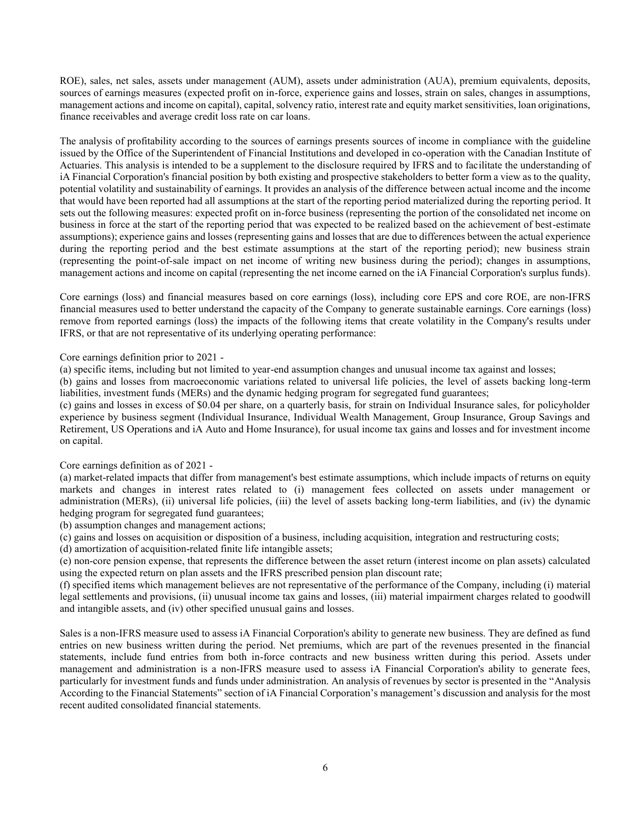ROE), sales, net sales, assets under management (AUM), assets under administration (AUA), premium equivalents, deposits, sources of earnings measures (expected profit on in-force, experience gains and losses, strain on sales, changes in assumptions, management actions and income on capital), capital, solvency ratio, interest rate and equity market sensitivities, loan originations, finance receivables and average credit loss rate on car loans.

The analysis of profitability according to the sources of earnings presents sources of income in compliance with the guideline issued by the Office of the Superintendent of Financial Institutions and developed in co-operation with the Canadian Institute of Actuaries. This analysis is intended to be a supplement to the disclosure required by IFRS and to facilitate the understanding of iA Financial Corporation's financial position by both existing and prospective stakeholders to better form a view as to the quality, potential volatility and sustainability of earnings. It provides an analysis of the difference between actual income and the income that would have been reported had all assumptions at the start of the reporting period materialized during the reporting period. It sets out the following measures: expected profit on in-force business (representing the portion of the consolidated net income on business in force at the start of the reporting period that was expected to be realized based on the achievement of best-estimate assumptions); experience gains and losses (representing gains and losses that are due to differences between the actual experience during the reporting period and the best estimate assumptions at the start of the reporting period); new business strain (representing the point-of-sale impact on net income of writing new business during the period); changes in assumptions, management actions and income on capital (representing the net income earned on the iA Financial Corporation's surplus funds).

Core earnings (loss) and financial measures based on core earnings (loss), including core EPS and core ROE, are non-IFRS financial measures used to better understand the capacity of the Company to generate sustainable earnings. Core earnings (loss) remove from reported earnings (loss) the impacts of the following items that create volatility in the Company's results under IFRS, or that are not representative of its underlying operating performance:

Core earnings definition prior to 2021 -

(a) specific items, including but not limited to year-end assumption changes and unusual income tax against and losses;

(b) gains and losses from macroeconomic variations related to universal life policies, the level of assets backing long-term liabilities, investment funds (MERs) and the dynamic hedging program for segregated fund guarantees;

(c) gains and losses in excess of \$0.04 per share, on a quarterly basis, for strain on Individual Insurance sales, for policyholder experience by business segment (Individual Insurance, Individual Wealth Management, Group Insurance, Group Savings and Retirement, US Operations and iA Auto and Home Insurance), for usual income tax gains and losses and for investment income on capital.

Core earnings definition as of 2021 -

(a) market-related impacts that differ from management's best estimate assumptions, which include impacts of returns on equity markets and changes in interest rates related to (i) management fees collected on assets under management or administration (MERs), (ii) universal life policies, (iii) the level of assets backing long-term liabilities, and (iv) the dynamic hedging program for segregated fund guarantees;

(b) assumption changes and management actions;

(c) gains and losses on acquisition or disposition of a business, including acquisition, integration and restructuring costs;

(d) amortization of acquisition-related finite life intangible assets;

(e) non-core pension expense, that represents the difference between the asset return (interest income on plan assets) calculated using the expected return on plan assets and the IFRS prescribed pension plan discount rate;

(f) specified items which management believes are not representative of the performance of the Company, including (i) material legal settlements and provisions, (ii) unusual income tax gains and losses, (iii) material impairment charges related to goodwill and intangible assets, and (iv) other specified unusual gains and losses.

Sales is a non-IFRS measure used to assess iA Financial Corporation's ability to generate new business. They are defined as fund entries on new business written during the period. Net premiums, which are part of the revenues presented in the financial statements, include fund entries from both in-force contracts and new business written during this period. Assets under management and administration is a non-IFRS measure used to assess iA Financial Corporation's ability to generate fees, particularly for investment funds and funds under administration. An analysis of revenues by sector is presented in the "Analysis According to the Financial Statements" section of iA Financial Corporation's management's discussion and analysis for the most recent audited consolidated financial statements.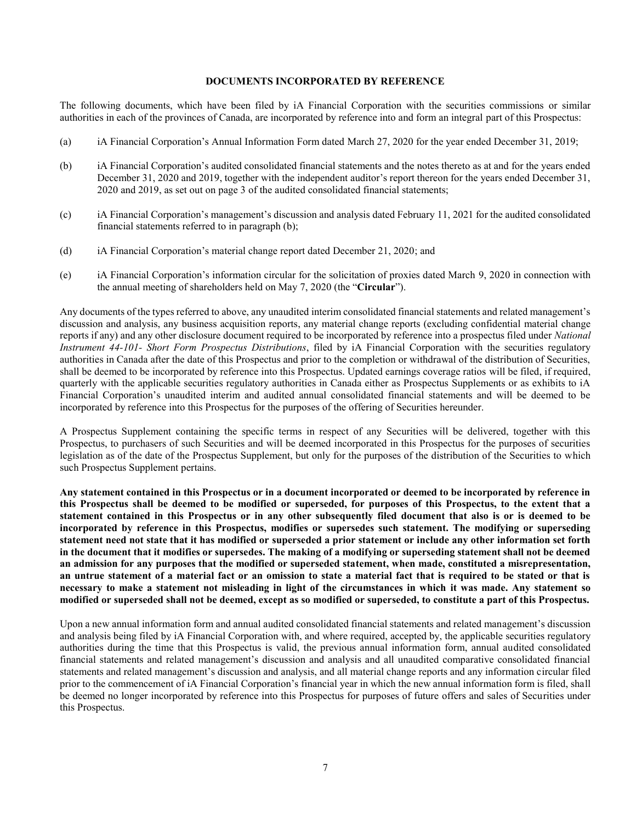#### **DOCUMENTS INCORPORATED BY REFERENCE**

The following documents, which have been filed by iA Financial Corporation with the securities commissions or similar authorities in each of the provinces of Canada, are incorporated by reference into and form an integral part of this Prospectus:

- (a) iA Financial Corporation's Annual Information Form dated March 27, 2020 for the year ended December 31, 2019;
- (b) iA Financial Corporation's audited consolidated financial statements and the notes thereto as at and for the years ended December 31, 2020 and 2019, together with the independent auditor's report thereon for the years ended December 31, 2020 and 2019, as set out on page 3 of the audited consolidated financial statements;
- (c) iA Financial Corporation's management's discussion and analysis dated February 11, 2021 for the audited consolidated financial statements referred to in paragraph (b);
- (d) iA Financial Corporation's material change report dated December 21, 2020; and
- (e) iA Financial Corporation's information circular for the solicitation of proxies dated March 9, 2020 in connection with the annual meeting of shareholders held on May 7, 2020 (the "**Circular**").

Any documents of the types referred to above, any unaudited interim consolidated financial statements and related management's discussion and analysis, any business acquisition reports, any material change reports (excluding confidential material change reports if any) and any other disclosure document required to be incorporated by reference into a prospectus filed under *National Instrument 44-101- Short Form Prospectus Distributions*, filed by iA Financial Corporation with the securities regulatory authorities in Canada after the date of this Prospectus and prior to the completion or withdrawal of the distribution of Securities, shall be deemed to be incorporated by reference into this Prospectus. Updated earnings coverage ratios will be filed, if required, quarterly with the applicable securities regulatory authorities in Canada either as Prospectus Supplements or as exhibits to iA Financial Corporation's unaudited interim and audited annual consolidated financial statements and will be deemed to be incorporated by reference into this Prospectus for the purposes of the offering of Securities hereunder.

A Prospectus Supplement containing the specific terms in respect of any Securities will be delivered, together with this Prospectus, to purchasers of such Securities and will be deemed incorporated in this Prospectus for the purposes of securities legislation as of the date of the Prospectus Supplement, but only for the purposes of the distribution of the Securities to which such Prospectus Supplement pertains.

**Any statement contained in this Prospectus or in a document incorporated or deemed to be incorporated by reference in this Prospectus shall be deemed to be modified or superseded, for purposes of this Prospectus, to the extent that a statement contained in this Prospectus or in any other subsequently filed document that also is or is deemed to be incorporated by reference in this Prospectus, modifies or supersedes such statement. The modifying or superseding statement need not state that it has modified or superseded a prior statement or include any other information set forth in the document that it modifies or supersedes. The making of a modifying or superseding statement shall not be deemed an admission for any purposes that the modified or superseded statement, when made, constituted a misrepresentation, an untrue statement of a material fact or an omission to state a material fact that is required to be stated or that is necessary to make a statement not misleading in light of the circumstances in which it was made. Any statement so modified or superseded shall not be deemed, except as so modified or superseded, to constitute a part of this Prospectus.** 

Upon a new annual information form and annual audited consolidated financial statements and related management's discussion and analysis being filed by iA Financial Corporation with, and where required, accepted by, the applicable securities regulatory authorities during the time that this Prospectus is valid, the previous annual information form, annual audited consolidated financial statements and related management's discussion and analysis and all unaudited comparative consolidated financial statements and related management's discussion and analysis, and all material change reports and any information circular filed prior to the commencement of iA Financial Corporation's financial year in which the new annual information form is filed, shall be deemed no longer incorporated by reference into this Prospectus for purposes of future offers and sales of Securities under this Prospectus.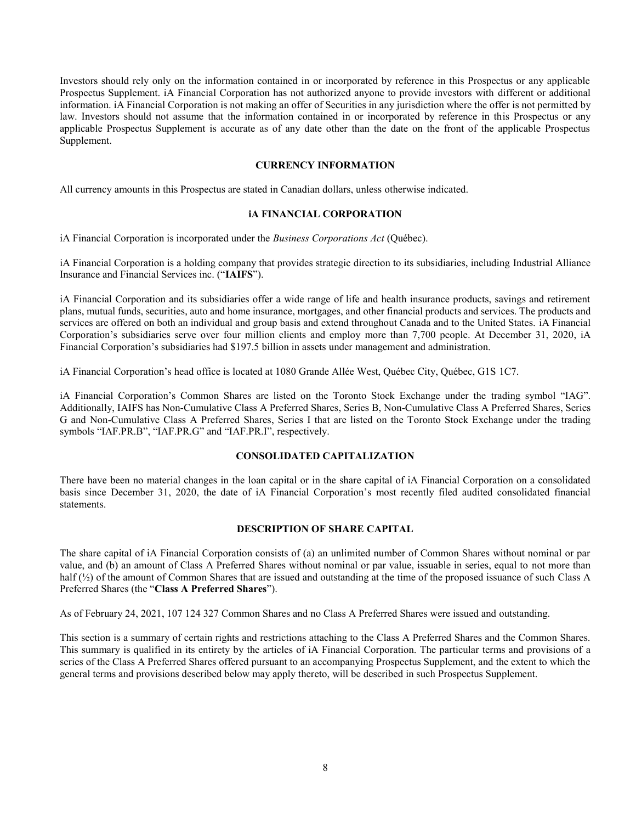Investors should rely only on the information contained in or incorporated by reference in this Prospectus or any applicable Prospectus Supplement. iA Financial Corporation has not authorized anyone to provide investors with different or additional information. iA Financial Corporation is not making an offer of Securities in any jurisdiction where the offer is not permitted by law. Investors should not assume that the information contained in or incorporated by reference in this Prospectus or any applicable Prospectus Supplement is accurate as of any date other than the date on the front of the applicable Prospectus Supplement.

## **CURRENCY INFORMATION**

All currency amounts in this Prospectus are stated in Canadian dollars, unless otherwise indicated.

## **iA FINANCIAL CORPORATION**

iA Financial Corporation is incorporated under the *Business Corporations Act* (Québec).

iA Financial Corporation is a holding company that provides strategic direction to its subsidiaries, including Industrial Alliance Insurance and Financial Services inc. ("**IAIFS**").

iA Financial Corporation and its subsidiaries offer a wide range of life and health insurance products, savings and retirement plans, mutual funds, securities, auto and home insurance, mortgages, and other financial products and services. The products and services are offered on both an individual and group basis and extend throughout Canada and to the United States. iA Financial Corporation's subsidiaries serve over four million clients and employ more than 7,700 people. At December 31, 2020, iA Financial Corporation's subsidiaries had \$197.5 billion in assets under management and administration.

iA Financial Corporation's head office is located at 1080 Grande Allée West, Québec City, Québec, G1S 1C7.

iA Financial Corporation's Common Shares are listed on the Toronto Stock Exchange under the trading symbol "IAG". Additionally, IAIFS has Non-Cumulative Class A Preferred Shares, Series B, Non-Cumulative Class A Preferred Shares, Series G and Non-Cumulative Class A Preferred Shares, Series I that are listed on the Toronto Stock Exchange under the trading symbols "IAF.PR.B", "IAF.PR.G" and "IAF.PR.I", respectively.

#### **CONSOLIDATED CAPITALIZATION**

There have been no material changes in the loan capital or in the share capital of iA Financial Corporation on a consolidated basis since December 31, 2020, the date of iA Financial Corporation's most recently filed audited consolidated financial statements.

## **DESCRIPTION OF SHARE CAPITAL**

The share capital of iA Financial Corporation consists of (a) an unlimited number of Common Shares without nominal or par value, and (b) an amount of Class A Preferred Shares without nominal or par value, issuable in series, equal to not more than half (½) of the amount of Common Shares that are issued and outstanding at the time of the proposed issuance of such Class A Preferred Shares (the "**Class A Preferred Shares**").

As of February 24, 2021, 107 124 327 Common Shares and no Class A Preferred Shares were issued and outstanding.

This section is a summary of certain rights and restrictions attaching to the Class A Preferred Shares and the Common Shares. This summary is qualified in its entirety by the articles of iA Financial Corporation. The particular terms and provisions of a series of the Class A Preferred Shares offered pursuant to an accompanying Prospectus Supplement, and the extent to which the general terms and provisions described below may apply thereto, will be described in such Prospectus Supplement.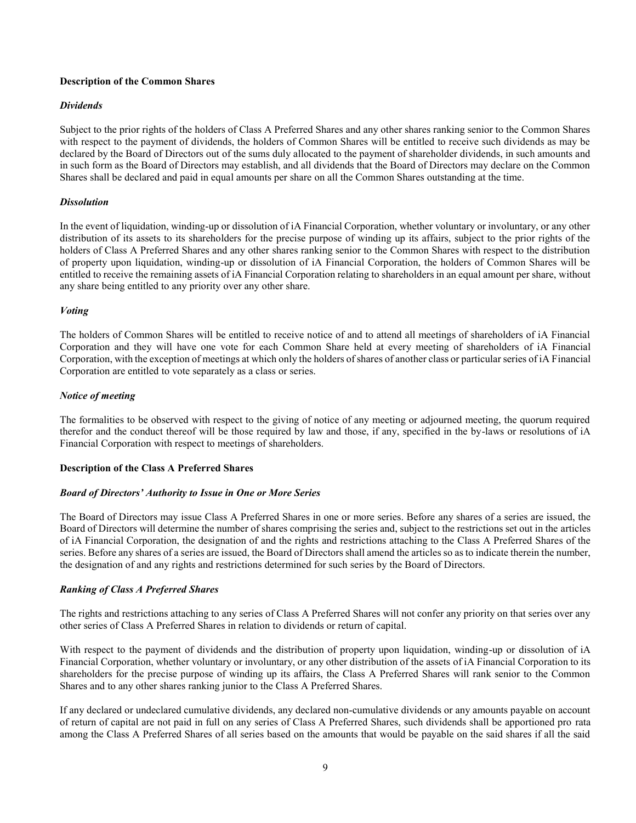## **Description of the Common Shares**

## *Dividends*

Subject to the prior rights of the holders of Class A Preferred Shares and any other shares ranking senior to the Common Shares with respect to the payment of dividends, the holders of Common Shares will be entitled to receive such dividends as may be declared by the Board of Directors out of the sums duly allocated to the payment of shareholder dividends, in such amounts and in such form as the Board of Directors may establish, and all dividends that the Board of Directors may declare on the Common Shares shall be declared and paid in equal amounts per share on all the Common Shares outstanding at the time.

## *Dissolution*

In the event of liquidation, winding-up or dissolution of iA Financial Corporation, whether voluntary or involuntary, or any other distribution of its assets to its shareholders for the precise purpose of winding up its affairs, subject to the prior rights of the holders of Class A Preferred Shares and any other shares ranking senior to the Common Shares with respect to the distribution of property upon liquidation, winding-up or dissolution of iA Financial Corporation, the holders of Common Shares will be entitled to receive the remaining assets of iA Financial Corporation relating to shareholders in an equal amount per share, without any share being entitled to any priority over any other share.

#### *Voting*

The holders of Common Shares will be entitled to receive notice of and to attend all meetings of shareholders of iA Financial Corporation and they will have one vote for each Common Share held at every meeting of shareholders of iA Financial Corporation, with the exception of meetings at which only the holders of shares of another class or particular series of iA Financial Corporation are entitled to vote separately as a class or series.

## *Notice of meeting*

The formalities to be observed with respect to the giving of notice of any meeting or adjourned meeting, the quorum required therefor and the conduct thereof will be those required by law and those, if any, specified in the by-laws or resolutions of iA Financial Corporation with respect to meetings of shareholders.

#### **Description of the Class A Preferred Shares**

#### *Board of Directors' Authority to Issue in One or More Series*

The Board of Directors may issue Class A Preferred Shares in one or more series. Before any shares of a series are issued, the Board of Directors will determine the number of shares comprising the series and, subject to the restrictions set out in the articles of iA Financial Corporation, the designation of and the rights and restrictions attaching to the Class A Preferred Shares of the series. Before any shares of a series are issued, the Board of Directors shall amend the articles so as to indicate therein the number, the designation of and any rights and restrictions determined for such series by the Board of Directors.

#### *Ranking of Class A Preferred Shares*

The rights and restrictions attaching to any series of Class A Preferred Shares will not confer any priority on that series over any other series of Class A Preferred Shares in relation to dividends or return of capital.

With respect to the payment of dividends and the distribution of property upon liquidation, winding-up or dissolution of iA Financial Corporation, whether voluntary or involuntary, or any other distribution of the assets of iA Financial Corporation to its shareholders for the precise purpose of winding up its affairs, the Class A Preferred Shares will rank senior to the Common Shares and to any other shares ranking junior to the Class A Preferred Shares.

If any declared or undeclared cumulative dividends, any declared non-cumulative dividends or any amounts payable on account of return of capital are not paid in full on any series of Class A Preferred Shares, such dividends shall be apportioned pro rata among the Class A Preferred Shares of all series based on the amounts that would be payable on the said shares if all the said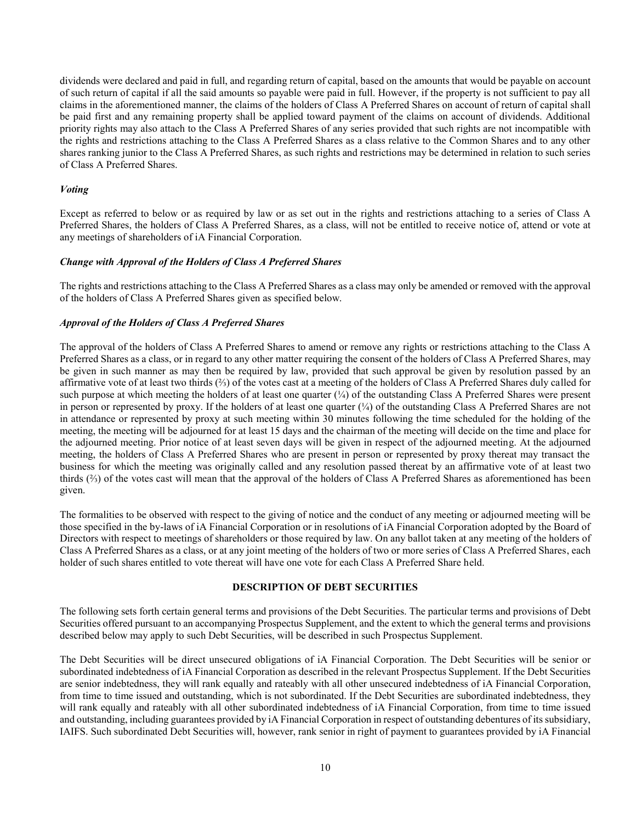dividends were declared and paid in full, and regarding return of capital, based on the amounts that would be payable on account of such return of capital if all the said amounts so payable were paid in full. However, if the property is not sufficient to pay all claims in the aforementioned manner, the claims of the holders of Class A Preferred Shares on account of return of capital shall be paid first and any remaining property shall be applied toward payment of the claims on account of dividends. Additional priority rights may also attach to the Class A Preferred Shares of any series provided that such rights are not incompatible with the rights and restrictions attaching to the Class A Preferred Shares as a class relative to the Common Shares and to any other shares ranking junior to the Class A Preferred Shares, as such rights and restrictions may be determined in relation to such series of Class A Preferred Shares.

## *Voting*

Except as referred to below or as required by law or as set out in the rights and restrictions attaching to a series of Class A Preferred Shares, the holders of Class A Preferred Shares, as a class, will not be entitled to receive notice of, attend or vote at any meetings of shareholders of iA Financial Corporation.

## *Change with Approval of the Holders of Class A Preferred Shares*

The rights and restrictions attaching to the Class A Preferred Shares as a class may only be amended or removed with the approval of the holders of Class A Preferred Shares given as specified below.

## *Approval of the Holders of Class A Preferred Shares*

The approval of the holders of Class A Preferred Shares to amend or remove any rights or restrictions attaching to the Class A Preferred Shares as a class, or in regard to any other matter requiring the consent of the holders of Class A Preferred Shares, may be given in such manner as may then be required by law, provided that such approval be given by resolution passed by an affirmative vote of at least two thirds (⅔) of the votes cast at a meeting of the holders of Class A Preferred Shares duly called for such purpose at which meeting the holders of at least one quarter (¼) of the outstanding Class A Preferred Shares were present in person or represented by proxy. If the holders of at least one quarter  $(\frac{1}{4})$  of the outstanding Class A Preferred Shares are not in attendance or represented by proxy at such meeting within 30 minutes following the time scheduled for the holding of the meeting, the meeting will be adjourned for at least 15 days and the chairman of the meeting will decide on the time and place for the adjourned meeting. Prior notice of at least seven days will be given in respect of the adjourned meeting. At the adjourned meeting, the holders of Class A Preferred Shares who are present in person or represented by proxy thereat may transact the business for which the meeting was originally called and any resolution passed thereat by an affirmative vote of at least two thirds (⅔) of the votes cast will mean that the approval of the holders of Class A Preferred Shares as aforementioned has been given.

The formalities to be observed with respect to the giving of notice and the conduct of any meeting or adjourned meeting will be those specified in the by-laws of iA Financial Corporation or in resolutions of iA Financial Corporation adopted by the Board of Directors with respect to meetings of shareholders or those required by law. On any ballot taken at any meeting of the holders of Class A Preferred Shares as a class, or at any joint meeting of the holders of two or more series of Class A Preferred Shares, each holder of such shares entitled to vote thereat will have one vote for each Class A Preferred Share held.

#### **DESCRIPTION OF DEBT SECURITIES**

The following sets forth certain general terms and provisions of the Debt Securities. The particular terms and provisions of Debt Securities offered pursuant to an accompanying Prospectus Supplement, and the extent to which the general terms and provisions described below may apply to such Debt Securities, will be described in such Prospectus Supplement.

The Debt Securities will be direct unsecured obligations of iA Financial Corporation. The Debt Securities will be senior or subordinated indebtedness of iA Financial Corporation as described in the relevant Prospectus Supplement. If the Debt Securities are senior indebtedness, they will rank equally and rateably with all other unsecured indebtedness of iA Financial Corporation, from time to time issued and outstanding, which is not subordinated. If the Debt Securities are subordinated indebtedness, they will rank equally and rateably with all other subordinated indebtedness of iA Financial Corporation, from time to time issued and outstanding, including guarantees provided by iA Financial Corporation in respect of outstanding debentures of its subsidiary, IAIFS. Such subordinated Debt Securities will, however, rank senior in right of payment to guarantees provided by iA Financial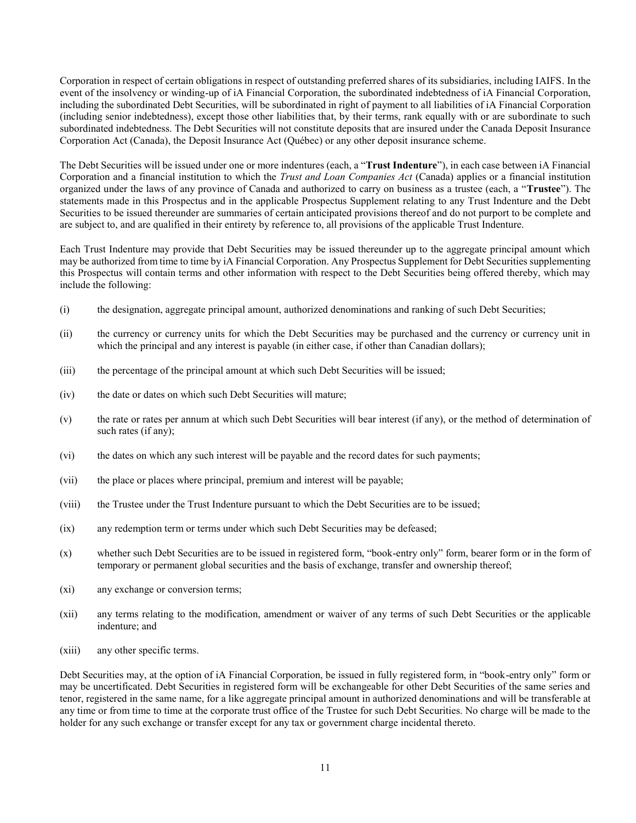Corporation in respect of certain obligations in respect of outstanding preferred shares of its subsidiaries, including IAIFS. In the event of the insolvency or winding-up of iA Financial Corporation, the subordinated indebtedness of iA Financial Corporation, including the subordinated Debt Securities, will be subordinated in right of payment to all liabilities of iA Financial Corporation (including senior indebtedness), except those other liabilities that, by their terms, rank equally with or are subordinate to such subordinated indebtedness. The Debt Securities will not constitute deposits that are insured under the Canada Deposit Insurance Corporation Act (Canada), the Deposit Insurance Act (Québec) or any other deposit insurance scheme.

The Debt Securities will be issued under one or more indentures (each, a "**Trust Indenture**"), in each case between iA Financial Corporation and a financial institution to which the *Trust and Loan Companies Act* (Canada) applies or a financial institution organized under the laws of any province of Canada and authorized to carry on business as a trustee (each, a "**Trustee**"). The statements made in this Prospectus and in the applicable Prospectus Supplement relating to any Trust Indenture and the Debt Securities to be issued thereunder are summaries of certain anticipated provisions thereof and do not purport to be complete and are subject to, and are qualified in their entirety by reference to, all provisions of the applicable Trust Indenture.

Each Trust Indenture may provide that Debt Securities may be issued thereunder up to the aggregate principal amount which may be authorized from time to time by iA Financial Corporation. Any Prospectus Supplement for Debt Securities supplementing this Prospectus will contain terms and other information with respect to the Debt Securities being offered thereby, which may include the following:

- (i) the designation, aggregate principal amount, authorized denominations and ranking of such Debt Securities;
- (ii) the currency or currency units for which the Debt Securities may be purchased and the currency or currency unit in which the principal and any interest is payable (in either case, if other than Canadian dollars);
- (iii) the percentage of the principal amount at which such Debt Securities will be issued;
- (iv) the date or dates on which such Debt Securities will mature;
- (v) the rate or rates per annum at which such Debt Securities will bear interest (if any), or the method of determination of such rates (if any);
- (vi) the dates on which any such interest will be payable and the record dates for such payments;
- (vii) the place or places where principal, premium and interest will be payable;
- (viii) the Trustee under the Trust Indenture pursuant to which the Debt Securities are to be issued;
- (ix) any redemption term or terms under which such Debt Securities may be defeased;
- (x) whether such Debt Securities are to be issued in registered form, "book-entry only" form, bearer form or in the form of temporary or permanent global securities and the basis of exchange, transfer and ownership thereof;
- (xi) any exchange or conversion terms;
- (xii) any terms relating to the modification, amendment or waiver of any terms of such Debt Securities or the applicable indenture; and
- (xiii) any other specific terms.

Debt Securities may, at the option of iA Financial Corporation, be issued in fully registered form, in "book-entry only" form or may be uncertificated. Debt Securities in registered form will be exchangeable for other Debt Securities of the same series and tenor, registered in the same name, for a like aggregate principal amount in authorized denominations and will be transferable at any time or from time to time at the corporate trust office of the Trustee for such Debt Securities. No charge will be made to the holder for any such exchange or transfer except for any tax or government charge incidental thereto.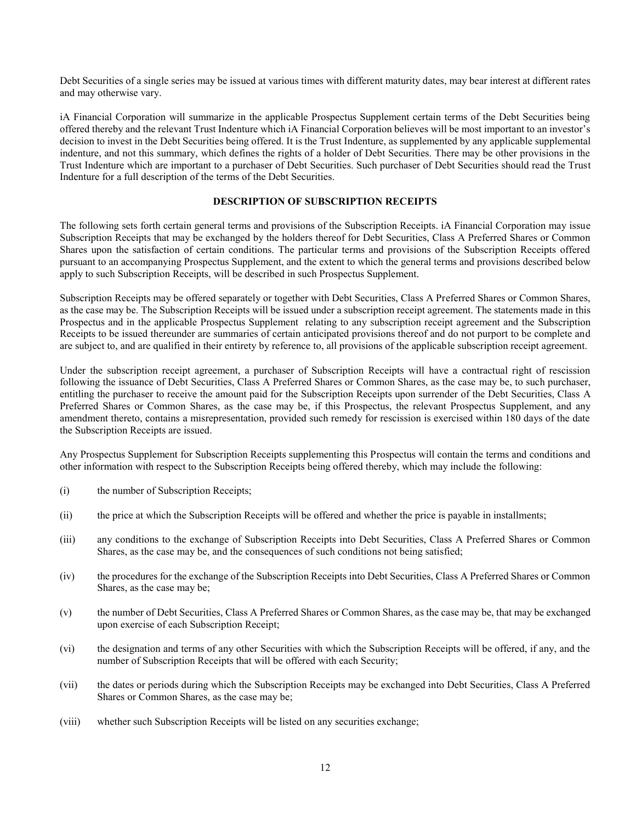Debt Securities of a single series may be issued at various times with different maturity dates, may bear interest at different rates and may otherwise vary.

iA Financial Corporation will summarize in the applicable Prospectus Supplement certain terms of the Debt Securities being offered thereby and the relevant Trust Indenture which iA Financial Corporation believes will be most important to an investor's decision to invest in the Debt Securities being offered. It is the Trust Indenture, as supplemented by any applicable supplemental indenture, and not this summary, which defines the rights of a holder of Debt Securities. There may be other provisions in the Trust Indenture which are important to a purchaser of Debt Securities. Such purchaser of Debt Securities should read the Trust Indenture for a full description of the terms of the Debt Securities.

# **DESCRIPTION OF SUBSCRIPTION RECEIPTS**

The following sets forth certain general terms and provisions of the Subscription Receipts. iA Financial Corporation may issue Subscription Receipts that may be exchanged by the holders thereof for Debt Securities, Class A Preferred Shares or Common Shares upon the satisfaction of certain conditions. The particular terms and provisions of the Subscription Receipts offered pursuant to an accompanying Prospectus Supplement, and the extent to which the general terms and provisions described below apply to such Subscription Receipts, will be described in such Prospectus Supplement.

Subscription Receipts may be offered separately or together with Debt Securities, Class A Preferred Shares or Common Shares, as the case may be. The Subscription Receipts will be issued under a subscription receipt agreement. The statements made in this Prospectus and in the applicable Prospectus Supplement relating to any subscription receipt agreement and the Subscription Receipts to be issued thereunder are summaries of certain anticipated provisions thereof and do not purport to be complete and are subject to, and are qualified in their entirety by reference to, all provisions of the applicable subscription receipt agreement.

Under the subscription receipt agreement, a purchaser of Subscription Receipts will have a contractual right of rescission following the issuance of Debt Securities, Class A Preferred Shares or Common Shares, as the case may be, to such purchaser, entitling the purchaser to receive the amount paid for the Subscription Receipts upon surrender of the Debt Securities, Class A Preferred Shares or Common Shares, as the case may be, if this Prospectus, the relevant Prospectus Supplement, and any amendment thereto, contains a misrepresentation, provided such remedy for rescission is exercised within 180 days of the date the Subscription Receipts are issued.

Any Prospectus Supplement for Subscription Receipts supplementing this Prospectus will contain the terms and conditions and other information with respect to the Subscription Receipts being offered thereby, which may include the following:

- (i) the number of Subscription Receipts;
- (ii) the price at which the Subscription Receipts will be offered and whether the price is payable in installments;
- (iii) any conditions to the exchange of Subscription Receipts into Debt Securities, Class A Preferred Shares or Common Shares, as the case may be, and the consequences of such conditions not being satisfied;
- (iv) the procedures for the exchange of the Subscription Receipts into Debt Securities, Class A Preferred Shares or Common Shares, as the case may be;
- (v) the number of Debt Securities, Class A Preferred Shares or Common Shares, as the case may be, that may be exchanged upon exercise of each Subscription Receipt;
- (vi) the designation and terms of any other Securities with which the Subscription Receipts will be offered, if any, and the number of Subscription Receipts that will be offered with each Security;
- (vii) the dates or periods during which the Subscription Receipts may be exchanged into Debt Securities, Class A Preferred Shares or Common Shares, as the case may be;
- (viii) whether such Subscription Receipts will be listed on any securities exchange;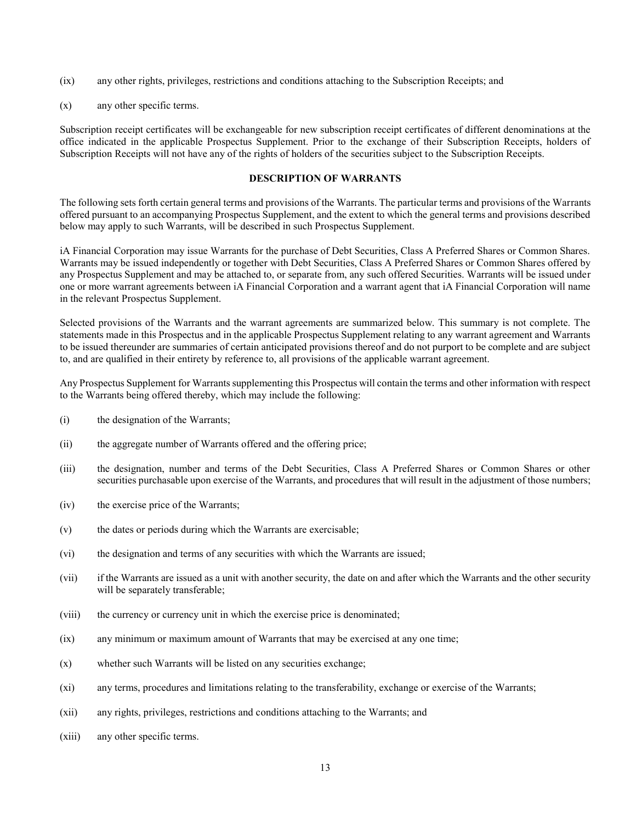- (ix) any other rights, privileges, restrictions and conditions attaching to the Subscription Receipts; and
- (x) any other specific terms.

Subscription receipt certificates will be exchangeable for new subscription receipt certificates of different denominations at the office indicated in the applicable Prospectus Supplement. Prior to the exchange of their Subscription Receipts, holders of Subscription Receipts will not have any of the rights of holders of the securities subject to the Subscription Receipts.

#### **DESCRIPTION OF WARRANTS**

The following sets forth certain general terms and provisions of the Warrants. The particular terms and provisions of the Warrants offered pursuant to an accompanying Prospectus Supplement, and the extent to which the general terms and provisions described below may apply to such Warrants, will be described in such Prospectus Supplement.

iA Financial Corporation may issue Warrants for the purchase of Debt Securities, Class A Preferred Shares or Common Shares. Warrants may be issued independently or together with Debt Securities, Class A Preferred Shares or Common Shares offered by any Prospectus Supplement and may be attached to, or separate from, any such offered Securities. Warrants will be issued under one or more warrant agreements between iA Financial Corporation and a warrant agent that iA Financial Corporation will name in the relevant Prospectus Supplement.

Selected provisions of the Warrants and the warrant agreements are summarized below. This summary is not complete. The statements made in this Prospectus and in the applicable Prospectus Supplement relating to any warrant agreement and Warrants to be issued thereunder are summaries of certain anticipated provisions thereof and do not purport to be complete and are subject to, and are qualified in their entirety by reference to, all provisions of the applicable warrant agreement.

Any Prospectus Supplement for Warrants supplementing this Prospectus will contain the terms and other information with respect to the Warrants being offered thereby, which may include the following:

- (i) the designation of the Warrants;
- (ii) the aggregate number of Warrants offered and the offering price;
- (iii) the designation, number and terms of the Debt Securities, Class A Preferred Shares or Common Shares or other securities purchasable upon exercise of the Warrants, and procedures that will result in the adjustment of those numbers;
- (iv) the exercise price of the Warrants;
- (v) the dates or periods during which the Warrants are exercisable;
- (vi) the designation and terms of any securities with which the Warrants are issued;
- (vii) if the Warrants are issued as a unit with another security, the date on and after which the Warrants and the other security will be separately transferable;
- (viii) the currency or currency unit in which the exercise price is denominated;
- (ix) any minimum or maximum amount of Warrants that may be exercised at any one time;
- (x) whether such Warrants will be listed on any securities exchange;
- (xi) any terms, procedures and limitations relating to the transferability, exchange or exercise of the Warrants;
- (xii) any rights, privileges, restrictions and conditions attaching to the Warrants; and
- (xiii) any other specific terms.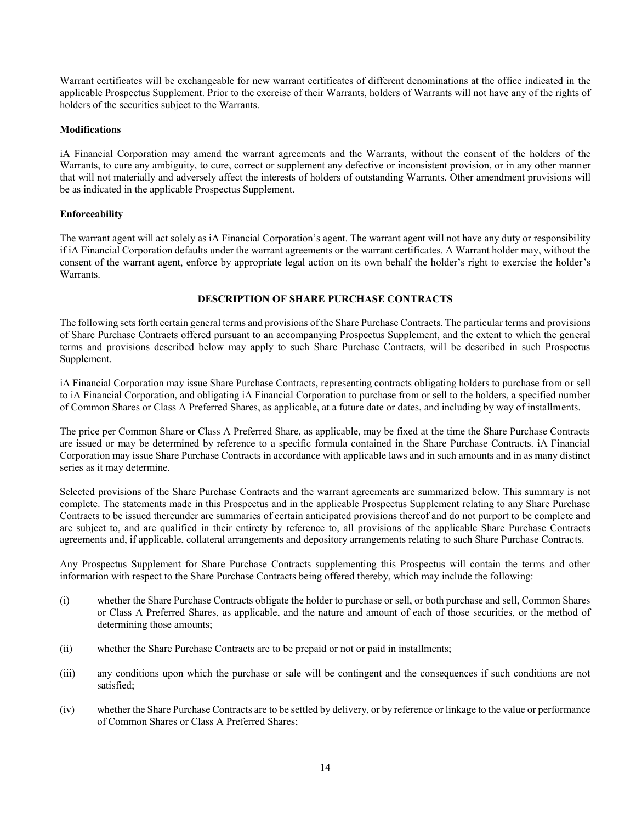Warrant certificates will be exchangeable for new warrant certificates of different denominations at the office indicated in the applicable Prospectus Supplement. Prior to the exercise of their Warrants, holders of Warrants will not have any of the rights of holders of the securities subject to the Warrants.

## **Modifications**

iA Financial Corporation may amend the warrant agreements and the Warrants, without the consent of the holders of the Warrants, to cure any ambiguity, to cure, correct or supplement any defective or inconsistent provision, or in any other manner that will not materially and adversely affect the interests of holders of outstanding Warrants. Other amendment provisions will be as indicated in the applicable Prospectus Supplement.

## **Enforceability**

The warrant agent will act solely as iA Financial Corporation's agent. The warrant agent will not have any duty or responsibility if iA Financial Corporation defaults under the warrant agreements or the warrant certificates. A Warrant holder may, without the consent of the warrant agent, enforce by appropriate legal action on its own behalf the holder's right to exercise the holder's Warrants.

## **DESCRIPTION OF SHARE PURCHASE CONTRACTS**

The following sets forth certain general terms and provisions of the Share Purchase Contracts. The particular terms and provisions of Share Purchase Contracts offered pursuant to an accompanying Prospectus Supplement, and the extent to which the general terms and provisions described below may apply to such Share Purchase Contracts, will be described in such Prospectus Supplement.

iA Financial Corporation may issue Share Purchase Contracts, representing contracts obligating holders to purchase from or sell to iA Financial Corporation, and obligating iA Financial Corporation to purchase from or sell to the holders, a specified number of Common Shares or Class A Preferred Shares, as applicable, at a future date or dates, and including by way of installments.

The price per Common Share or Class A Preferred Share, as applicable, may be fixed at the time the Share Purchase Contracts are issued or may be determined by reference to a specific formula contained in the Share Purchase Contracts. iA Financial Corporation may issue Share Purchase Contracts in accordance with applicable laws and in such amounts and in as many distinct series as it may determine.

Selected provisions of the Share Purchase Contracts and the warrant agreements are summarized below. This summary is not complete. The statements made in this Prospectus and in the applicable Prospectus Supplement relating to any Share Purchase Contracts to be issued thereunder are summaries of certain anticipated provisions thereof and do not purport to be complete and are subject to, and are qualified in their entirety by reference to, all provisions of the applicable Share Purchase Contracts agreements and, if applicable, collateral arrangements and depository arrangements relating to such Share Purchase Contracts.

Any Prospectus Supplement for Share Purchase Contracts supplementing this Prospectus will contain the terms and other information with respect to the Share Purchase Contracts being offered thereby, which may include the following:

- (i) whether the Share Purchase Contracts obligate the holder to purchase or sell, or both purchase and sell, Common Shares or Class A Preferred Shares, as applicable, and the nature and amount of each of those securities, or the method of determining those amounts;
- (ii) whether the Share Purchase Contracts are to be prepaid or not or paid in installments;
- (iii) any conditions upon which the purchase or sale will be contingent and the consequences if such conditions are not satisfied;
- (iv) whether the Share Purchase Contracts are to be settled by delivery, or by reference or linkage to the value or performance of Common Shares or Class A Preferred Shares;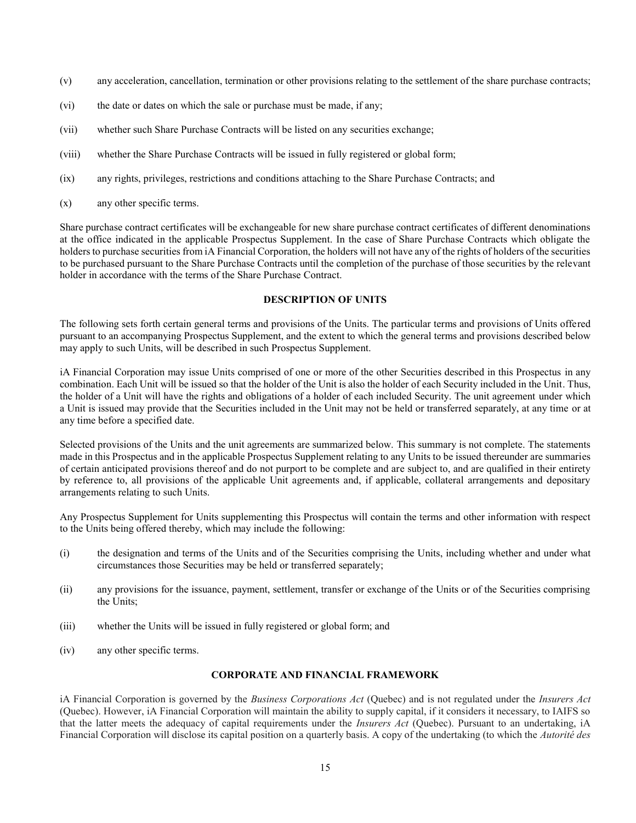- (v) any acceleration, cancellation, termination or other provisions relating to the settlement of the share purchase contracts;
- (vi) the date or dates on which the sale or purchase must be made, if any;
- (vii) whether such Share Purchase Contracts will be listed on any securities exchange;
- (viii) whether the Share Purchase Contracts will be issued in fully registered or global form;
- (ix) any rights, privileges, restrictions and conditions attaching to the Share Purchase Contracts; and
- (x) any other specific terms.

Share purchase contract certificates will be exchangeable for new share purchase contract certificates of different denominations at the office indicated in the applicable Prospectus Supplement. In the case of Share Purchase Contracts which obligate the holders to purchase securities from iA Financial Corporation, the holders will not have any of the rights of holders of the securities to be purchased pursuant to the Share Purchase Contracts until the completion of the purchase of those securities by the relevant holder in accordance with the terms of the Share Purchase Contract.

## **DESCRIPTION OF UNITS**

The following sets forth certain general terms and provisions of the Units. The particular terms and provisions of Units offered pursuant to an accompanying Prospectus Supplement, and the extent to which the general terms and provisions described below may apply to such Units, will be described in such Prospectus Supplement.

iA Financial Corporation may issue Units comprised of one or more of the other Securities described in this Prospectus in any combination. Each Unit will be issued so that the holder of the Unit is also the holder of each Security included in the Unit. Thus, the holder of a Unit will have the rights and obligations of a holder of each included Security. The unit agreement under which a Unit is issued may provide that the Securities included in the Unit may not be held or transferred separately, at any time or at any time before a specified date.

Selected provisions of the Units and the unit agreements are summarized below. This summary is not complete. The statements made in this Prospectus and in the applicable Prospectus Supplement relating to any Units to be issued thereunder are summaries of certain anticipated provisions thereof and do not purport to be complete and are subject to, and are qualified in their entirety by reference to, all provisions of the applicable Unit agreements and, if applicable, collateral arrangements and depositary arrangements relating to such Units.

Any Prospectus Supplement for Units supplementing this Prospectus will contain the terms and other information with respect to the Units being offered thereby, which may include the following:

- (i) the designation and terms of the Units and of the Securities comprising the Units, including whether and under what circumstances those Securities may be held or transferred separately;
- (ii) any provisions for the issuance, payment, settlement, transfer or exchange of the Units or of the Securities comprising the Units;
- (iii) whether the Units will be issued in fully registered or global form; and
- (iv) any other specific terms.

#### **CORPORATE AND FINANCIAL FRAMEWORK**

iA Financial Corporation is governed by the *Business Corporations Act* (Quebec) and is not regulated under the *Insurers Act*  (Quebec). However, iA Financial Corporation will maintain the ability to supply capital, if it considers it necessary, to IAIFS so that the latter meets the adequacy of capital requirements under the *Insurers Act* (Quebec). Pursuant to an undertaking, iA Financial Corporation will disclose its capital position on a quarterly basis. A copy of the undertaking (to which the *Autorité des*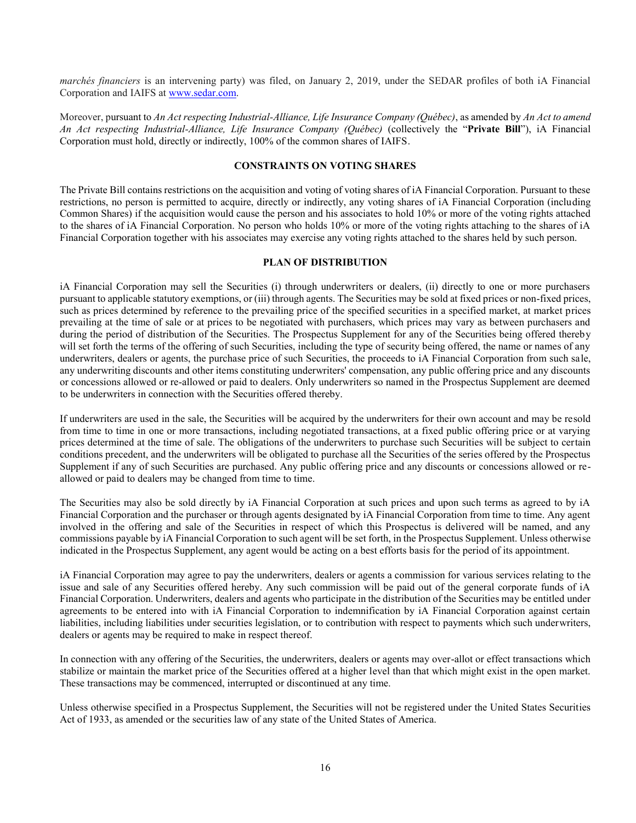*marchés financiers* is an intervening party) was filed, on January 2, 2019, under the SEDAR profiles of both iA Financial Corporation and IAIFS at [www.sedar.com.](www.sedar.com)

Moreover, pursuant to *An Act respecting Industrial-Alliance, Life Insurance Company (Québec)*, as amended by *An Act to amend An Act respecting Industrial-Alliance, Life Insurance Company (Québec)* (collectively the "**Private Bill**"), iA Financial Corporation must hold, directly or indirectly, 100% of the common shares of IAIFS.

## **CONSTRAINTS ON VOTING SHARES**

The Private Bill contains restrictions on the acquisition and voting of voting shares of iA Financial Corporation. Pursuant to these restrictions, no person is permitted to acquire, directly or indirectly, any voting shares of iA Financial Corporation (including Common Shares) if the acquisition would cause the person and his associates to hold 10% or more of the voting rights attached to the shares of iA Financial Corporation. No person who holds 10% or more of the voting rights attaching to the shares of iA Financial Corporation together with his associates may exercise any voting rights attached to the shares held by such person.

## **PLAN OF DISTRIBUTION**

iA Financial Corporation may sell the Securities (i) through underwriters or dealers, (ii) directly to one or more purchasers pursuant to applicable statutory exemptions, or (iii) through agents. The Securities may be sold at fixed prices or non-fixed prices, such as prices determined by reference to the prevailing price of the specified securities in a specified market, at market prices prevailing at the time of sale or at prices to be negotiated with purchasers, which prices may vary as between purchasers and during the period of distribution of the Securities. The Prospectus Supplement for any of the Securities being offered thereby will set forth the terms of the offering of such Securities, including the type of security being offered, the name or names of any underwriters, dealers or agents, the purchase price of such Securities, the proceeds to iA Financial Corporation from such sale, any underwriting discounts and other items constituting underwriters' compensation, any public offering price and any discounts or concessions allowed or re-allowed or paid to dealers. Only underwriters so named in the Prospectus Supplement are deemed to be underwriters in connection with the Securities offered thereby.

If underwriters are used in the sale, the Securities will be acquired by the underwriters for their own account and may be resold from time to time in one or more transactions, including negotiated transactions, at a fixed public offering price or at varying prices determined at the time of sale. The obligations of the underwriters to purchase such Securities will be subject to certain conditions precedent, and the underwriters will be obligated to purchase all the Securities of the series offered by the Prospectus Supplement if any of such Securities are purchased. Any public offering price and any discounts or concessions allowed or reallowed or paid to dealers may be changed from time to time.

The Securities may also be sold directly by iA Financial Corporation at such prices and upon such terms as agreed to by iA Financial Corporation and the purchaser or through agents designated by iA Financial Corporation from time to time. Any agent involved in the offering and sale of the Securities in respect of which this Prospectus is delivered will be named, and any commissions payable by iA Financial Corporation to such agent will be set forth, in the Prospectus Supplement. Unless otherwise indicated in the Prospectus Supplement, any agent would be acting on a best efforts basis for the period of its appointment.

iA Financial Corporation may agree to pay the underwriters, dealers or agents a commission for various services relating to the issue and sale of any Securities offered hereby. Any such commission will be paid out of the general corporate funds of iA Financial Corporation. Underwriters, dealers and agents who participate in the distribution of the Securities may be entitled under agreements to be entered into with iA Financial Corporation to indemnification by iA Financial Corporation against certain liabilities, including liabilities under securities legislation, or to contribution with respect to payments which such underwriters, dealers or agents may be required to make in respect thereof.

In connection with any offering of the Securities, the underwriters, dealers or agents may over-allot or effect transactions which stabilize or maintain the market price of the Securities offered at a higher level than that which might exist in the open market. These transactions may be commenced, interrupted or discontinued at any time.

Unless otherwise specified in a Prospectus Supplement, the Securities will not be registered under the United States Securities Act of 1933, as amended or the securities law of any state of the United States of America.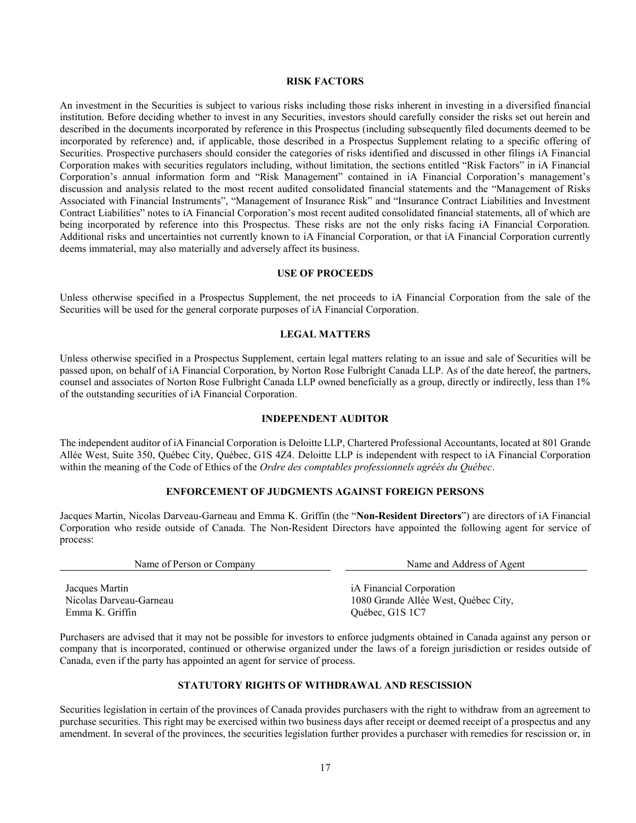## **RISK FACTORS**

An investment in the Securities is subject to various risks including those risks inherent in investing in a diversified financial institution. Before deciding whether to invest in any Securities, investors should carefully consider the risks set out herein and described in the documents incorporated by reference in this Prospectus (including subsequently filed documents deemed to be incorporated by reference) and, if applicable, those described in a Prospectus Supplement relating to a specific offering of Securities. Prospective purchasers should consider the categories of risks identified and discussed in other filings iA Financial Corporation makes with securities regulators including, without limitation, the sections entitled "Risk Factors" in iA Financial Corporation's annual information form and "Risk Management" contained in iA Financial Corporation's management's discussion and analysis related to the most recent audited consolidated financial statements and the "Management of Risks Associated with Financial Instruments", "Management of Insurance Risk" and "Insurance Contract Liabilities and Investment Contract Liabilities" notes to iA Financial Corporation's most recent audited consolidated financial statements, all of which are being incorporated by reference into this Prospectus. These risks are not the only risks facing iA Financial Corporation. Additional risks and uncertainties not currently known to iA Financial Corporation, or that iA Financial Corporation currently deems immaterial, may also materially and adversely affect its business.

#### **USE OF PROCEEDS**

Unless otherwise specified in a Prospectus Supplement, the net proceeds to iA Financial Corporation from the sale of the Securities will be used for the general corporate purposes of iA Financial Corporation.

#### **LEGAL MATTERS**

Unless otherwise specified in a Prospectus Supplement, certain legal matters relating to an issue and sale of Securities will be passed upon, on behalf of iA Financial Corporation, by Norton Rose Fulbright Canada LLP. As of the date hereof, the partners, counsel and associates of Norton Rose Fulbright Canada LLP owned beneficially as a group, directly or indirectly, less than 1% of the outstanding securities of iA Financial Corporation.

## **INDEPENDENT AUDITOR**

The independent auditor of iA Financial Corporation is Deloitte LLP, Chartered Professional Accountants, located at 801 Grande Allée West, Suite 350, Québec City, Québec, G1S 4Z4. Deloitte LLP is independent with respect to iA Financial Corporation within the meaning of the Code of Ethics of the *Ordre des comptables professionnels agréés du Québec*.

#### **ENFORCEMENT OF JUDGMENTS AGAINST FOREIGN PERSONS**

Jacques Martin, Nicolas Darveau-Garneau and Emma K. Griffin (the "**Non-Resident Directors**") are directors of iA Financial Corporation who reside outside of Canada. The Non-Resident Directors have appointed the following agent for service of process:

Name of Person or Company Name and Address of Agent

Jacques Martin Nicolas Darveau-Garneau Emma K. Griffin

iA Financial Corporation 1080 Grande Allée West, Québec City, Québec, G1S 1C7

Purchasers are advised that it may not be possible for investors to enforce judgments obtained in Canada against any person or company that is incorporated, continued or otherwise organized under the laws of a foreign jurisdiction or resides outside of Canada, even if the party has appointed an agent for service of process.

## **STATUTORY RIGHTS OF WITHDRAWAL AND RESCISSION**

Securities legislation in certain of the provinces of Canada provides purchasers with the right to withdraw from an agreement to purchase securities. This right may be exercised within two business days after receipt or deemed receipt of a prospectus and any amendment. In several of the provinces, the securities legislation further provides a purchaser with remedies for rescission or, in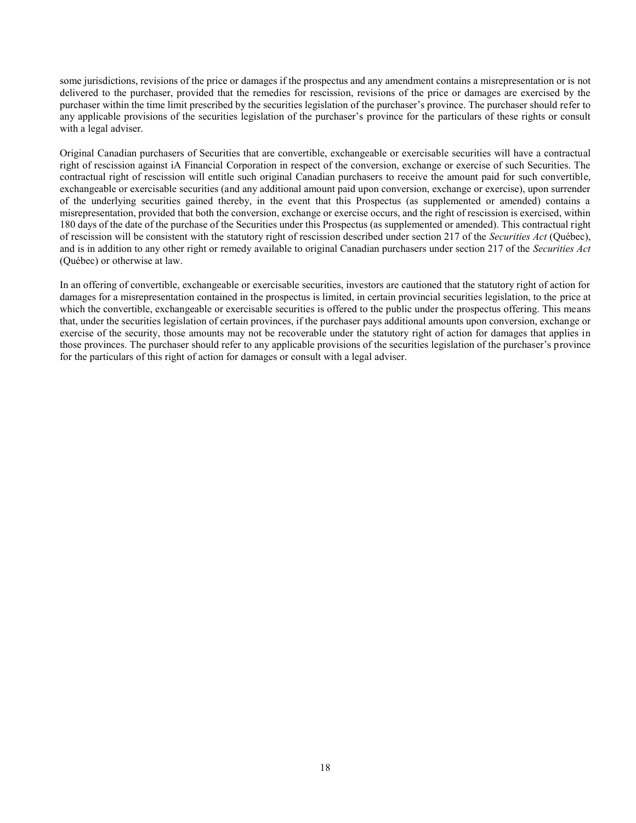some jurisdictions, revisions of the price or damages if the prospectus and any amendment contains a misrepresentation or is not delivered to the purchaser, provided that the remedies for rescission, revisions of the price or damages are exercised by the purchaser within the time limit prescribed by the securities legislation of the purchaser's province. The purchaser should refer to any applicable provisions of the securities legislation of the purchaser's province for the particulars of these rights or consult with a legal adviser.

Original Canadian purchasers of Securities that are convertible, exchangeable or exercisable securities will have a contractual right of rescission against iA Financial Corporation in respect of the conversion, exchange or exercise of such Securities. The contractual right of rescission will entitle such original Canadian purchasers to receive the amount paid for such convertible, exchangeable or exercisable securities (and any additional amount paid upon conversion, exchange or exercise), upon surrender of the underlying securities gained thereby, in the event that this Prospectus (as supplemented or amended) contains a misrepresentation, provided that both the conversion, exchange or exercise occurs, and the right of rescission is exercised, within 180 days of the date of the purchase of the Securities under this Prospectus (as supplemented or amended). This contractual right of rescission will be consistent with the statutory right of rescission described under section 217 of the *Securities Act* (Québec), and is in addition to any other right or remedy available to original Canadian purchasers under section 217 of the *Securities Act* (Québec) or otherwise at law.

In an offering of convertible, exchangeable or exercisable securities, investors are cautioned that the statutory right of action for damages for a misrepresentation contained in the prospectus is limited, in certain provincial securities legislation, to the price at which the convertible, exchangeable or exercisable securities is offered to the public under the prospectus offering. This means that, under the securities legislation of certain provinces, if the purchaser pays additional amounts upon conversion, exchange or exercise of the security, those amounts may not be recoverable under the statutory right of action for damages that applies in those provinces. The purchaser should refer to any applicable provisions of the securities legislation of the purchaser's province for the particulars of this right of action for damages or consult with a legal adviser.